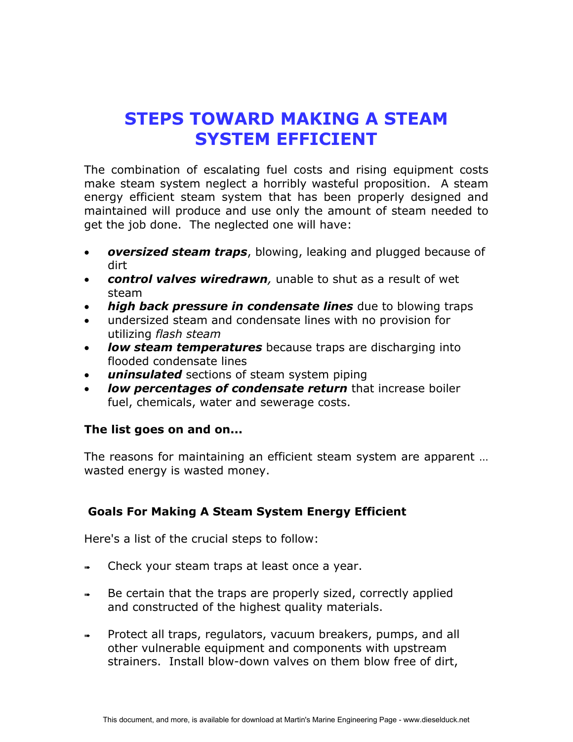## **STEPS TOWARD MAKING A STEAM SYSTEM EFFICIENT**

The combination of escalating fuel costs and rising equipment costs make steam system neglect a horribly wasteful proposition. A steam energy efficient steam system that has been properly designed and maintained will produce and use only the amount of steam needed to get the job done. The neglected one will have:

- *oversized steam traps*, blowing, leaking and plugged because of dirt
- *control valves wiredrawn,* unable to shut as a result of wet steam
- *high back pressure in condensate lines* due to blowing traps
- undersized steam and condensate lines with no provision for utilizing *flash steam*
- *low steam temperatures* because traps are discharging into flooded condensate lines
- $\bullet$ *uninsulated* sections of steam system piping
- *low percentages of condensate return* that increase boiler fuel, chemicals, water and sewerage costs.

## **The list goes on and on...**

The reasons for maintaining an efficient steam system are apparent … wasted energy is wasted money.

## **Goals For Making A Steam System Energy Efficient**

Here's a list of the crucial steps to follow:

- ➠ Check your steam traps at least once a year.
- ➠ Be certain that the traps are properly sized, correctly applied and constructed of the highest quality materials.
- Protect all traps, regulators, vacuum breakers, pumps, and all other vulnerable equipment and components with upstream strainers. Install blow-down valves on them blow free of dirt,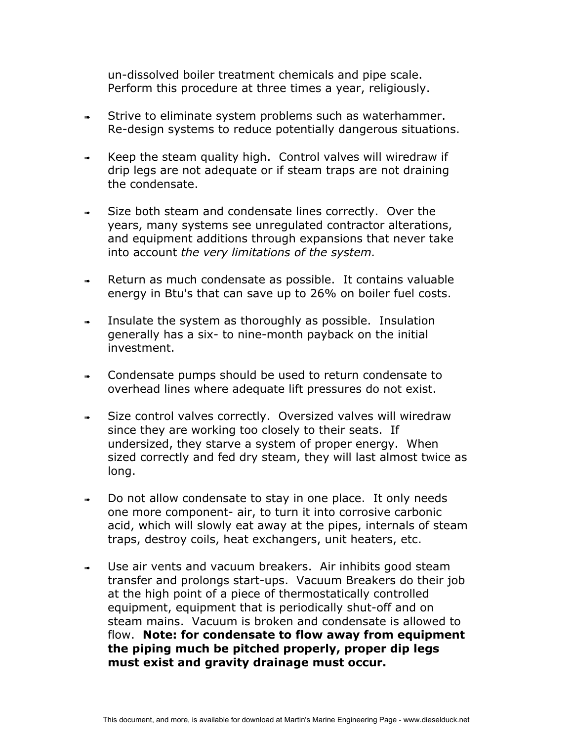un-dissolved boiler treatment chemicals and pipe scale. Perform this procedure at three times a year, religiously.

- Strive to eliminate system problems such as waterhammer. Re-design systems to reduce potentially dangerous situations.
- Keep the steam quality high. Control valves will wiredraw if drip legs are not adequate or if steam traps are not draining the condensate.
- Size both steam and condensate lines correctly. Over the years, many systems see unregulated contractor alterations, and equipment additions through expansions that never take into account *the very limitations of the system.*
- ➠ Return as much condensate as possible. It contains valuable energy in Btu's that can save up to 26% on boiler fuel costs.
- ➠ Insulate the system as thoroughly as possible. Insulation generally has a six- to nine-month payback on the initial investment.
- ➠ Condensate pumps should be used to return condensate to overhead lines where adequate lift pressures do not exist.
- ➠ Size control valves correctly. Oversized valves will wiredraw since they are working too closely to their seats. If undersized, they starve a system of proper energy. When sized correctly and fed dry steam, they will last almost twice as long.
- ➠ Do not allow condensate to stay in one place. It only needs one more component- air, to turn it into corrosive carbonic acid, which will slowly eat away at the pipes, internals of steam traps, destroy coils, heat exchangers, unit heaters, etc.
- ➠ Use air vents and vacuum breakers. Air inhibits good steam transfer and prolongs start-ups. Vacuum Breakers do their job at the high point of a piece of thermostatically controlled equipment, equipment that is periodically shut-off and on steam mains. Vacuum is broken and condensate is allowed to flow. **Note: for condensate to flow away from equipment the piping much be pitched properly, proper dip legs must exist and gravity drainage must occur.**